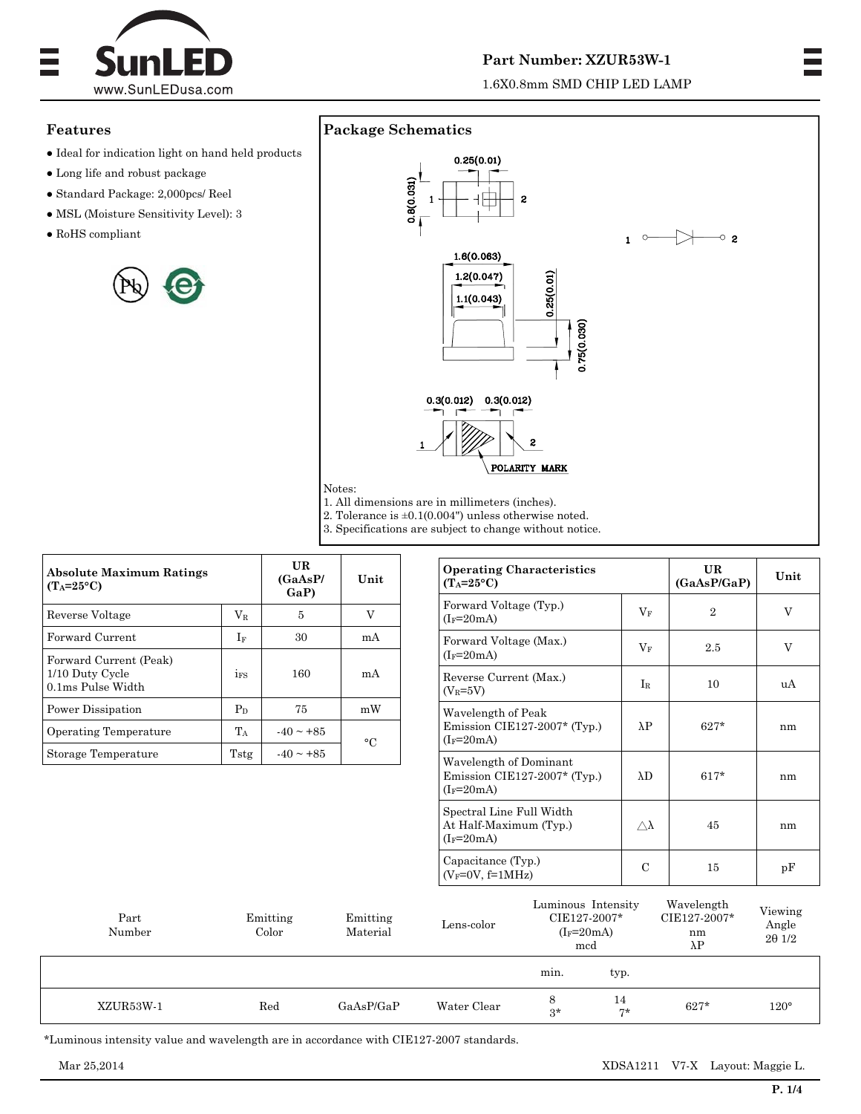

# **Part Number: XZUR53W-1**

1.6X0.8mm SMD CHIP LED LAMP

## **Features**

- $\bullet$  Ideal for indication light on hand held products
- Long life and robust package
- Standard Package: 2,000pcs/ Reel
- MSL (Moisture Sensitivity Level): 3
- $\bullet$  RoHS compliant





1. All dimensions are in millimeters (inches).

Notes:

2. Tolerance is ±0.1(0.004") unless otherwise noted.

3. Specifications are subject to change without notice.

| <b>Absolute Maximum Ratings</b><br>$(T_A=25^{\circ}C)$         |                 | UR<br>(GaAsP/<br>$\mathbf{Ga}(\mathbf{P})$ | Unit      |  |
|----------------------------------------------------------------|-----------------|--------------------------------------------|-----------|--|
| Reverse Voltage                                                | $\rm V_R$       | 5                                          | V         |  |
| <b>Forward Current</b>                                         | If              | 30                                         | mA        |  |
| Forward Current (Peak)<br>1/10 Duty Cycle<br>0.1ms Pulse Width | 1 <sub>FS</sub> | 160                                        | mA        |  |
| Power Dissipation                                              | $P_D$           | 75                                         | mW        |  |
| Operating Temperature                                          | $T_A$           | $-40 \sim +85$                             | $\circ$ C |  |
| Storage Temperature                                            | Tstg            | $-40 \sim +85$                             |           |  |

| <b>Operating Characteristics</b><br>$(T_A=25\textdegree C)$            |                  | UR<br>(GaAsP/GaP) | Unit |  |
|------------------------------------------------------------------------|------------------|-------------------|------|--|
| Forward Voltage (Typ.)<br>$(I_F=20mA)$                                 | $V_F$            | $\mathfrak{D}$    | V    |  |
| Forward Voltage (Max.)<br>$(I_F=20mA)$                                 | $\rm V_F$        | 2.5               | V    |  |
| Reverse Current (Max.)<br>$(V_R=5V)$                                   | $I_{R}$          | 10                | uA   |  |
| Wavelength of Peak<br>Emission CIE127-2007* (Typ.)<br>$(I_F=20mA)$     | $\lambda P$      | $627*$            | nm   |  |
| Wavelength of Dominant<br>Emission CIE127-2007* (Typ.)<br>$(I_F=20mA)$ | $\lambda$ D      | $617*$            | nm   |  |
| Spectral Line Full Width<br>At Half-Maximum (Typ.)<br>$(I_F=20mA)$     | $\wedge \lambda$ | 45                | nm   |  |
| Capacitance (Typ.)<br>$(V_F=0V, f=1MHz)$                               | C                | 15                | pF   |  |

| Part<br>Number | Emitting<br>Color | Emitting<br>Material | Lens-color  | Luminous Intensity<br>CIE127-2007*<br>$(I_F=20mA)$<br>mcd |          | Wavelength<br>CIE127-2007*<br>nm<br>$\lambda$ P | Viewing<br>Angle<br>$2\theta$ 1/2 |
|----------------|-------------------|----------------------|-------------|-----------------------------------------------------------|----------|-------------------------------------------------|-----------------------------------|
|                |                   |                      |             | min.                                                      | typ.     |                                                 |                                   |
| XZUR53W-1      | $_{\rm Red}$      | GaAsP/GaP            | Water Clear | 8<br>$3*$                                                 | 14<br>ワネ | $627*$                                          | $120^{\circ}$                     |

\*Luminous intensity value and wavelength are in accordance with CIE127-2007 standards.

Mar 25,2014 XDSA1211 V7-X Layout: Maggie L.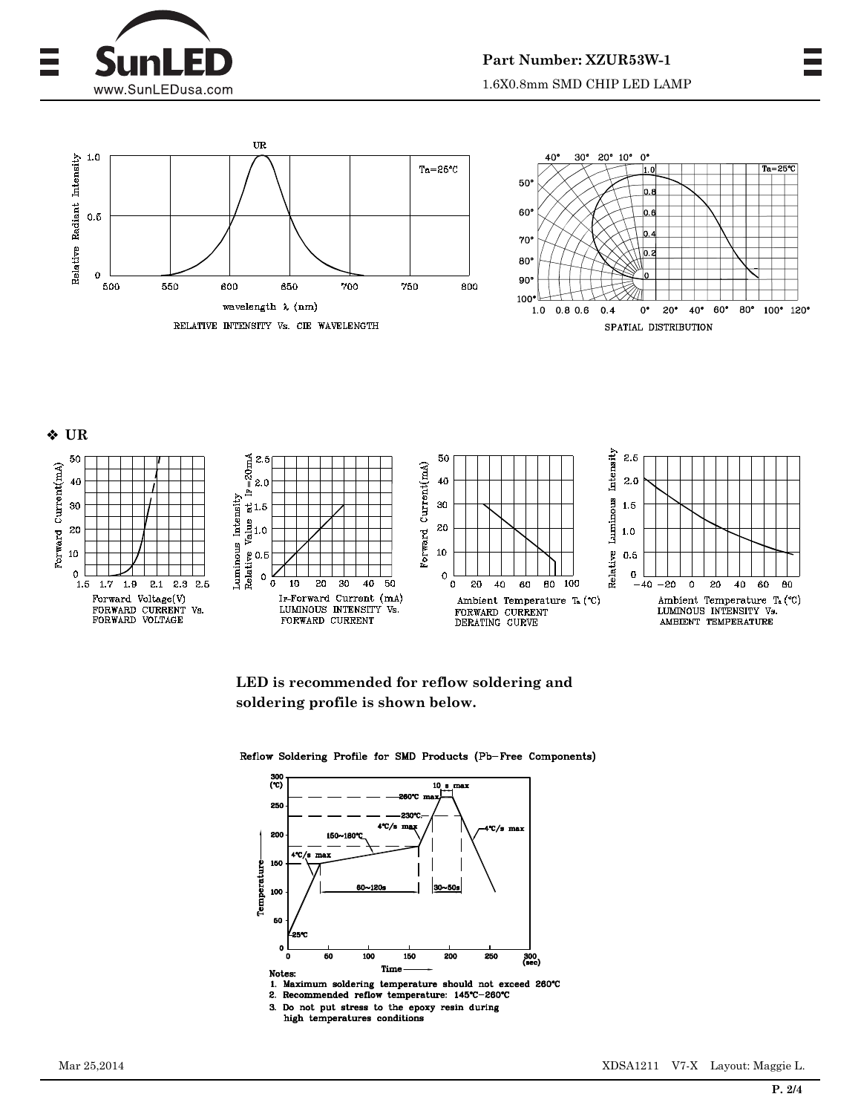







**LED is recommended for reflow soldering and soldering profile is shown below.** 

Reflow Soldering Profile for SMD Products (Pb-Free Components)



- 1. Maximum soldering temperature should not exceed 260°C
- 2. Recommended reflow temperature: 145°C-260°C Do not put stress to the epoxy resin during  $3.$
- high temperatures conditions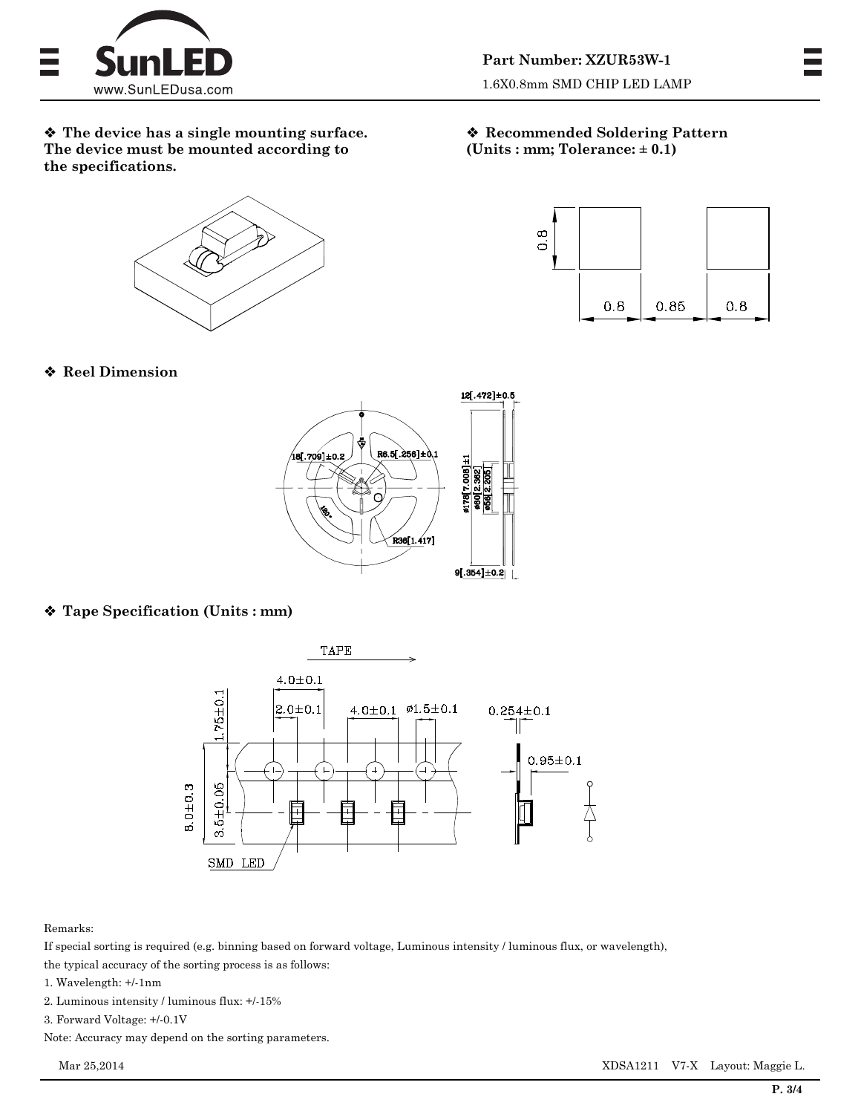

 **The device has a single mounting surface. The device must be mounted according to the specifications.** 

 **Recommended Soldering Pattern (Units : mm; Tolerance: ± 0.1)** 



**Reel Dimension** 



# **Tape Specification (Units : mm)**



Remarks:

If special sorting is required (e.g. binning based on forward voltage, Luminous intensity / luminous flux, or wavelength), the typical accuracy of the sorting process is as follows:

1. Wavelength: +/-1nm

2. Luminous intensity / luminous flux: +/-15%

3. Forward Voltage: +/-0.1V

Note: Accuracy may depend on the sorting parameters.